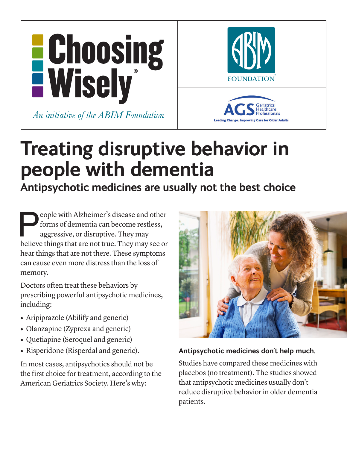



# **Treating disruptive behavior in people with dementia**

**Antipsychotic medicines are usually not the best choice**

**Example 2** eople with Alzheimer's disease and other forms of dementia can become restless, aggressive, or disruptive. They may see or believe things that are not true. They may see or forms of dementia can become restless, aggressive, or disruptive. They may hear things that are not there. These symptoms can cause even more distress than the loss of memory.

Doctors often treat these behaviors by prescribing powerful antipsychotic medicines, including:

- Aripiprazole (Abilify and generic)
- Olanzapine (Zyprexa and generic)
- **•** Quetiapine (Seroquel and generic)
- **•** Risperidone (Risperdal and generic).

In most cases, antipsychotics should not be the first choice for treatment, according to the American Geriatrics Society. Here's why:



## **Antipsychotic medicines don't help much.**

Studies have compared these medicines with placebos (no treatment). The studies showed that antipsychotic medicines usually don't reduce disruptive behavior in older dementia patients.